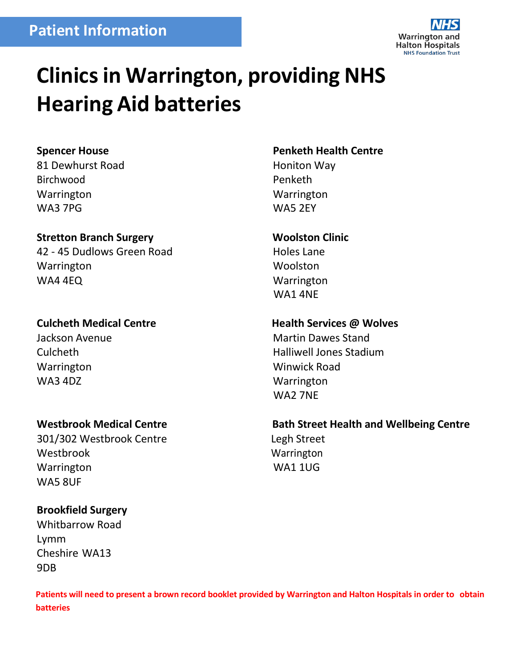

## **Clinicsin Warrington, providing NHS Hearing Aid batteries**

81 Dewhurst Road Honiton Way Birchwood **Penketh** Warrington Warrington WA3 7PG WA5 2EY

## **Stretton Branch Surgery Woolston Clinic**

42 - 45 Dudlows Green Road Holes Lane Warrington Woolston WA4 4EQ Warrington

Warrington Winwick Road WA3 4DZ WA3 4DZ

301/302 Westbrook Centre Legh Street Westbrook Warrington Warrington WA1 1UG WA5 8UF

## **Brookfield Surgery**

Whitbarrow Road Lymm Cheshire WA13 9DB

### **Spencer House Penketh Health Centre**

WA1 4NE

## **Culcheth Medical Centre Health Services @ Wolves**

Jackson Avenue Martin Dawes Stand Culcheth Halliwell Jones Stadium WA2 7NE

# **Westbrook Medical Centre Bath Street Health and Wellbeing Centre**

**Patients will need to present a brown record booklet provided by Warrington and Halton Hospitals in order to obtain batteries**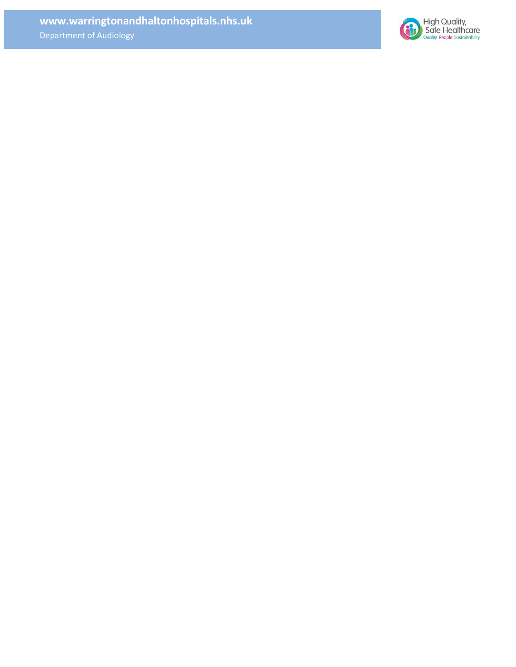